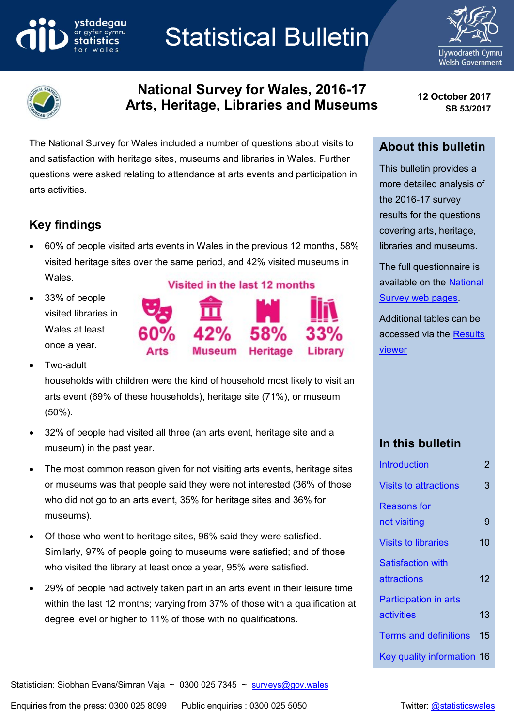# ystadegau

# **Statistical Bulletin**





# **National Survey for Wales, 2016-17 Arts, Heritage, Libraries and Museums 12 October <sup>2017</sup>**

The National Survey for Wales included a number of questions about visits to and satisfaction with heritage sites, museums and libraries in Wales. Further questions were asked relating to attendance at arts events and participation in arts activities.

# **Key findings**

- 60% of people visited arts events in Wales in the previous 12 months, 58% visited heritage sites over the same period, and 42% visited museums in Wales.
- 33% of people visited libraries in Wales at least once a year.

# Visited in the last 12 months



Two-adult

households with children were the kind of household most likely to visit an arts event (69% of these households), heritage site (71%), or museum (50%).

- 32% of people had visited all three (an arts event, heritage site and a museum) in the past year.
- The most common reason given for not visiting arts events, heritage sites or museums was that people said they were not interested (36% of those who did not go to an arts event, 35% for heritage sites and 36% for museums).
- Of those who went to heritage sites, 96% said they were satisfied. Similarly, 97% of people going to museums were satisfied; and of those who visited the library at least once a year, 95% were satisfied.
- 29% of people had actively taken part in an arts event in their leisure time within the last 12 months; varying from 37% of those with a qualification at degree level or higher to 11% of those with no qualifications.

**SB 53/2017**

# **About this bulletin**

This bulletin provides a more detailed analysis of the 2016-17 survey results for the questions covering arts, heritage, libraries and museums.

The full questionnaire is available on the [National](http://gov.wales/docs/caecd/research/2014/140430-national-survey-questionnaire-2014-15-en.pdf)  [Survey web pages.](http://gov.wales/docs/caecd/research/2014/140430-national-survey-questionnaire-2014-15-en.pdf)

Additional tables can be accessed via the [Results](https://gov.wales/docs/caecd/research/2018/national-survey-results-viewer-en.xlsb)  [viewer](https://gov.wales/docs/caecd/research/2018/national-survey-results-viewer-en.xlsb)

# **In this bulletin**

| <b>Introduction</b>          | 2  |
|------------------------------|----|
| <b>Visits to attractions</b> | 3  |
| <b>Reasons</b> for           |    |
| not visiting                 | 9  |
| <b>Visits to libraries</b>   | 10 |
| <b>Satisfaction with</b>     |    |
| attractions                  | 12 |
| <b>Participation in arts</b> |    |
| activities                   | 13 |
| <b>Terms and definitions</b> | 15 |
| Key quality information 16   |    |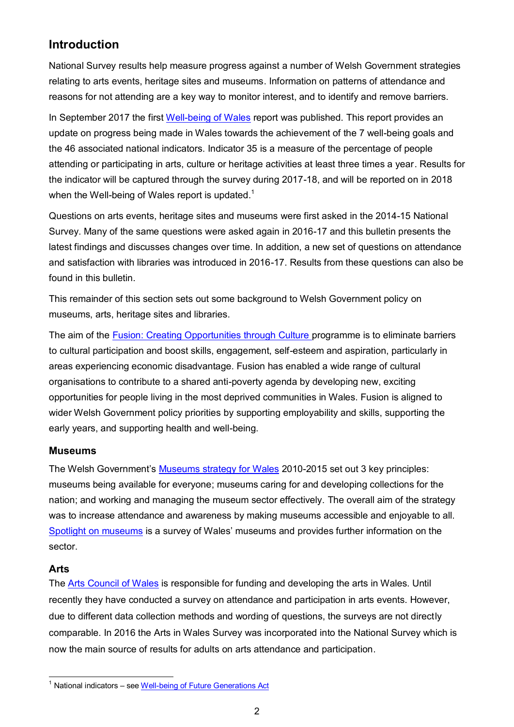# <span id="page-1-0"></span>**Introduction**

National Survey results help measure progress against a number of Welsh Government strategies relating to arts events, heritage sites and museums. Information on patterns of attendance and reasons for not attending are a key way to monitor interest, and to identify and remove barriers.

In September 2017 the first [Well-being of Wales](http://gov.wales/docs/statistics/2017/170925-well-being-wales-2016-17-en.pdf) report was published. This report provides an update on progress being made in Wales towards the achievement of the 7 well-being goals and the 46 associated national indicators. Indicator 35 is a measure of the percentage of people attending or participating in arts, culture or heritage activities at least three times a year. Results for the indicator will be captured through the survey during 2017-18, and will be reported on in 2018 when the Well-being of Wales report is updated.<sup>1</sup>

Questions on arts events, heritage sites and museums were first asked in the 2014-15 National Survey. Many of the same questions were asked again in 2016-17 and this bulletin presents the latest findings and discusses changes over time. In addition, a new set of questions on attendance and satisfaction with libraries was introduced in 2016-17. Results from these questions can also be found in this bulletin.

This remainder of this section sets out some background to Welsh Government policy on museums, arts, heritage sites and libraries.

The aim of the [Fusion: Creating Opportunities through Culture](http://gov.wales/topics/culture-tourism-sport/tackling-poverty-through-culture/?lang=en) programme is to eliminate barriers to cultural participation and boost skills, engagement, self-esteem and aspiration, particularly in areas experiencing economic disadvantage. Fusion has enabled a wide range of cultural organisations to contribute to a shared anti-poverty agenda by developing new, exciting opportunities for people living in the most deprived communities in Wales. Fusion is aligned to wider Welsh Government policy priorities by supporting employability and skills, supporting the early years, and supporting health and well-being.

#### **Museums**

The Welsh Government's [Museums strategy for Wales](http://gov.wales/topics/culture-tourism-sport/museums-archives-libraries/museums/strategy/?lang=en) 2010-2015 set out 3 key principles: museums being available for everyone; museums caring for and developing collections for the nation; and working and managing the museum sector effectively. The overall aim of the strategy was to increase attendance and awareness by making museums accessible and enjoyable to all. Spotlight [on museums](http://gov.wales/topics/culture-tourism-sport/museums-archives-libraries/museums/spotlight/?lang=en) is a survey of Wales' museums and provides further information on the sector.

#### **Arts**

 $\overline{\phantom{a}}$ 

The [Arts Council of Wales](http://www.arts.wales/) is responsible for funding and developing the arts in Wales. Until recently they have conducted a survey on attendance and participation in arts events. However, due to different data collection methods and wording of questions, the surveys are not directly comparable. In 2016 the Arts in Wales Survey was incorporated into the National Survey which is now the main source of results for adults on arts attendance and participation.

 $1$  National indicators – se[e Well-being of Future Generations Act](#page-17-0)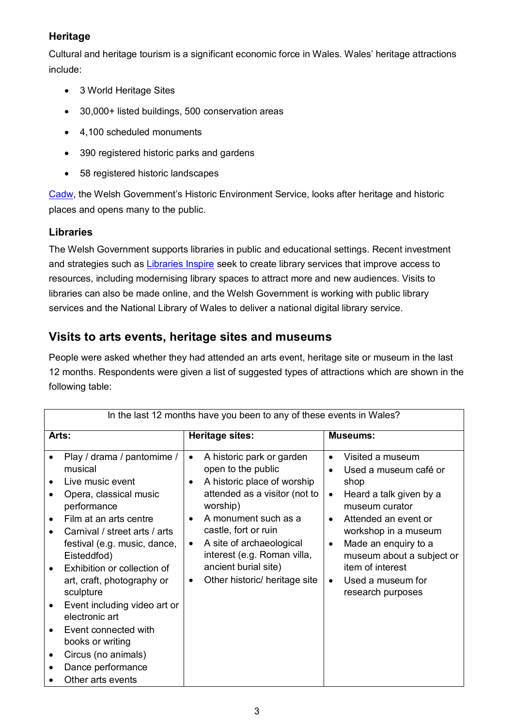#### **Heritage**

Cultural and heritage tourism is a significant economic force in Wales. Wales' heritage attractions include:

- 3 World Heritage Sites
- 30,000+ listed buildings, 500 conservation areas
- 4,100 scheduled monuments
- 390 registered historic parks and gardens
- 58 registered historic landscapes

[Cadw](http://gov.wales/topics/culture-tourism-sport/historic-environment/cadw/?lang=en), the Welsh Government's Historic Environment Service, looks after heritage and historic places and opens many to the public.

#### **Libraries**

The Welsh Government supports libraries in public and educational settings. Recent investment and strategies such as [Libraries Inspire](http://gov.wales/topics/culture-tourism-sport/museums-archives-libraries/libraries/libraries-inspire/?lang=en) seek to create library services that improve access to resources, including modernising library spaces to attract more and new audiences. Visits to libraries can also be made online, and the Welsh Government is working with public library services and the National Library of Wales to deliver a national digital library service.

# <span id="page-2-0"></span>**Visits to arts events, heritage sites and museums**

People were asked whether they had attended an arts event, heritage site or museum in the last 12 months. Respondents were given a list of suggested types of attractions which are shown in the following table:

| In the last 12 months have you been to any of these events in Wales?                                                                                                                                                                                                                                                                                                                                                                                       |                                                                                                                                                                                                                                                                                                                                                          |                                                                                                                                                                                                                                                                                                                       |  |
|------------------------------------------------------------------------------------------------------------------------------------------------------------------------------------------------------------------------------------------------------------------------------------------------------------------------------------------------------------------------------------------------------------------------------------------------------------|----------------------------------------------------------------------------------------------------------------------------------------------------------------------------------------------------------------------------------------------------------------------------------------------------------------------------------------------------------|-----------------------------------------------------------------------------------------------------------------------------------------------------------------------------------------------------------------------------------------------------------------------------------------------------------------------|--|
| Arts:                                                                                                                                                                                                                                                                                                                                                                                                                                                      | Heritage sites:                                                                                                                                                                                                                                                                                                                                          | <b>Museums:</b>                                                                                                                                                                                                                                                                                                       |  |
| Play / drama / pantomime /<br>musical<br>Live music event<br>Opera, classical music<br>performance<br>Film at an arts centre<br>$\bullet$<br>Carnival / street arts / arts<br>festival (e.g. music, dance,<br>Eisteddfod)<br>Exhibition or collection of<br>art, craft, photography or<br>sculpture<br>Event including video art or<br>electronic art<br>Event connected with<br>books or writing<br>Circus (no animals)<br>$\bullet$<br>Dance performance | A historic park or garden<br>$\bullet$<br>open to the public<br>A historic place of worship<br>$\bullet$<br>attended as a visitor (not to<br>worship)<br>A monument such as a<br>$\bullet$<br>castle, fort or ruin<br>A site of archaeological<br>$\bullet$<br>interest (e.g. Roman villa,<br>ancient burial site)<br>Other historic/ heritage site<br>٠ | Visited a museum<br>$\bullet$<br>Used a museum café or<br>shop<br>Heard a talk given by a<br>$\bullet$<br>museum curator<br>Attended an event or<br>workshop in a museum<br>Made an enquiry to a<br>$\bullet$<br>museum about a subject or<br>item of interest<br>Used a museum for<br>$\bullet$<br>research purposes |  |
| Other arts events                                                                                                                                                                                                                                                                                                                                                                                                                                          |                                                                                                                                                                                                                                                                                                                                                          |                                                                                                                                                                                                                                                                                                                       |  |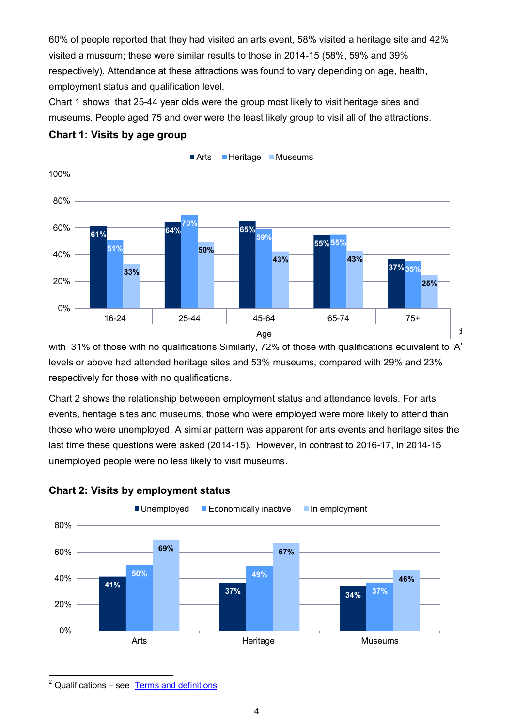60% of people reported that they had visited an arts event, 58% visited a heritage site and 42% visited a museum; these were similar results to those in 2014-15 (58%, 59% and 39% respectively). Attendance at these attractions was found to vary depending on age, health, employment status and qualification level.

Chart 1 shows that 25-44 year olds were the group most likely to visit heritage sites and museums. People aged 75 and over were the least likely group to visit all of the attractions.



#### **Chart 1: Visits by age group**

with 31% of those with no qualifications Similarly, 72% of those with qualifications equivalent to 'A' levels or above had attended heritage sites and 53% museums, compared with 29% and 23% respectively for those with no qualifications.

Chart 2 shows the relationship betweeen employment status and attendance levels. For arts events, heritage sites and museums, those who were employed were more likely to attend than those who were unemployed. A similar pattern was apparent for arts events and heritage sites the last time these questions were asked (2014-15). However, in contrast to 2016-17, in 2014-15 unemployed people were no less likely to visit museums.



#### **Chart 2: Visits by employment status**

 $\overline{\phantom{a}}$ <sup>2</sup> Qualifications – see Terms and definitions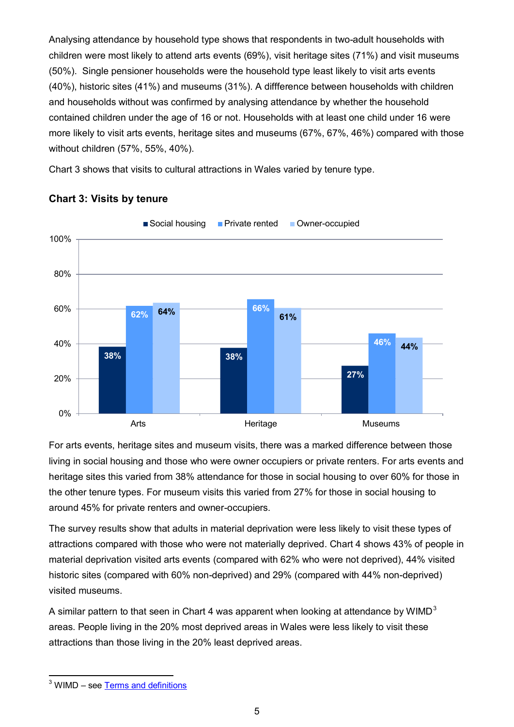Analysing attendance by household type shows that respondents in two-adult households with children were most likely to attend arts events (69%), visit heritage sites (71%) and visit museums (50%). Single pensioner households were the household type least likely to visit arts events (40%), historic sites (41%) and museums (31%). A diffference between households with children and households without was confirmed by analysing attendance by whether the household contained children under the age of 16 or not. Households with at least one child under 16 were more likely to visit arts events, heritage sites and museums (67%, 67%, 46%) compared with those without children (57%, 55%, 40%).

Chart 3 shows that visits to cultural attractions in Wales varied by tenure type.



#### **Chart 3: Visits by tenure**

For arts events, heritage sites and museum visits, there was a marked difference between those living in social housing and those who were owner occupiers or private renters. For arts events and heritage sites this varied from 38% attendance for those in social housing to over 60% for those in the other tenure types. For museum visits this varied from 27% for those in social housing to around 45% for private renters and owner-occupiers.

The survey results show that adults in material deprivation were less likely to visit these types of attractions compared with those who were not materially deprived. Chart 4 shows 43% of people in material deprivation visited arts events (compared with 62% who were not deprived), 44% visited historic sites (compared with 60% non-deprived) and 29% (compared with 44% non-deprived) visited museums.

A similar pattern to that seen in Chart 4 was apparent when looking at attendance by WIMD<sup>3</sup> areas. People living in the 20% most deprived areas in Wales were less likely to visit these attractions than those living in the 20% least deprived areas.

 $\overline{\phantom{a}}$ <sup>3</sup> WIMD – see Terms and definitions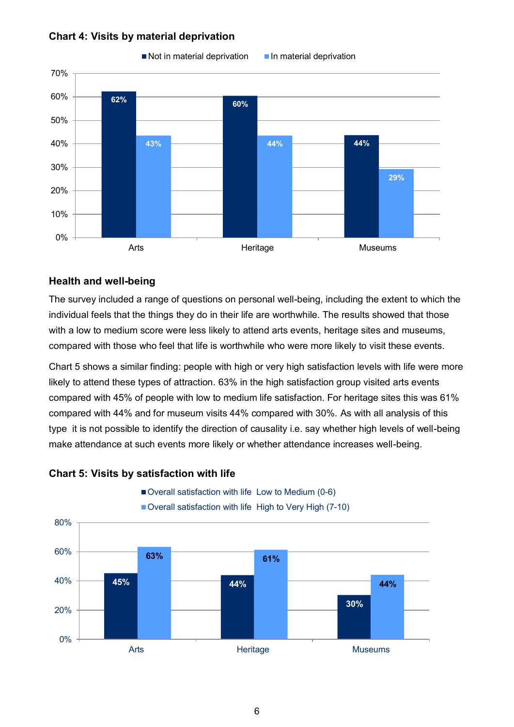#### **Chart 4: Visits by material deprivation**



#### $\blacksquare$  Not in material deprivation  $\blacksquare$  In material deprivation

#### **Health and well-being**

The survey included a range of questions on personal well-being, including the extent to which the individual feels that the things they do in their life are worthwhile. The results showed that those with a low to medium score were less likely to attend arts events, heritage sites and museums, compared with those who feel that life is worthwhile who were more likely to visit these events.

Chart 5 shows a similar finding: people with high or very high satisfaction levels with life were more likely to attend these types of attraction. 63% in the high satisfaction group visited arts events compared with 45% of people with low to medium life satisfaction. For heritage sites this was 61% compared with 44% and for museum visits 44% compared with 30%. As with all analysis of this type it is not possible to identify the direction of causality i.e. say whether high levels of well-being make attendance at such events more likely or whether attendance increases well-being.



#### **Chart 5: Visits by satisfaction with life**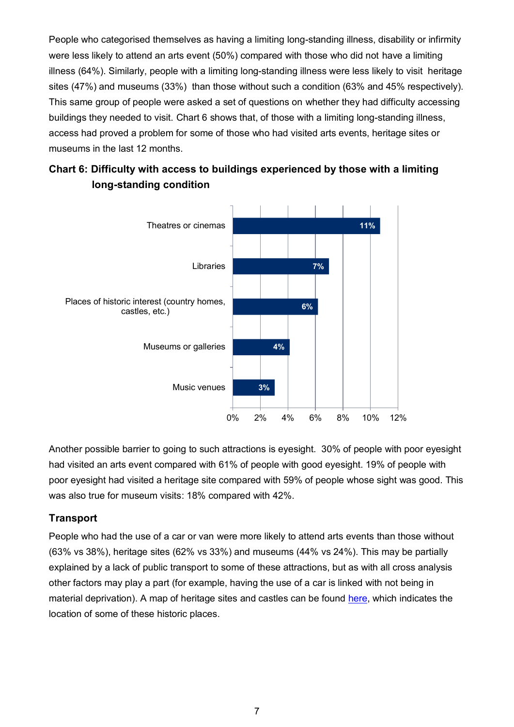People who categorised themselves as having a limiting long-standing illness, disability or infirmity were less likely to attend an arts event (50%) compared with those who did not have a limiting illness (64%). Similarly, people with a limiting long-standing illness were less likely to visit heritage sites (47%) and museums (33%) than those without such a condition (63% and 45% respectively). This same group of people were asked a set of questions on whether they had difficulty accessing buildings they needed to visit. Chart 6 shows that, of those with a limiting long-standing illness, access had proved a problem for some of those who had visited arts events, heritage sites or museums in the last 12 months.





Another possible barrier to going to such attractions is eyesight. 30% of people with poor eyesight had visited an arts event compared with 61% of people with good eyesight. 19% of people with poor eyesight had visited a heritage site compared with 59% of people whose sight was good. This was also true for museum visits: 18% compared with 42%.

#### **Transport**

People who had the use of a car or van were more likely to attend arts events than those without (63% vs 38%), heritage sites (62% vs 33%) and museums (44% vs 24%). This may be partially explained by a lack of public transport to some of these attractions, but as with all cross analysis other factors may play a part (for example, having the use of a car is linked with not being in material deprivation). A map of heritage sites and castles can be found [here,](http://cadw.gov.wales/daysout/maps-and-itineraries/?lang=en) which indicates the location of some of these historic places.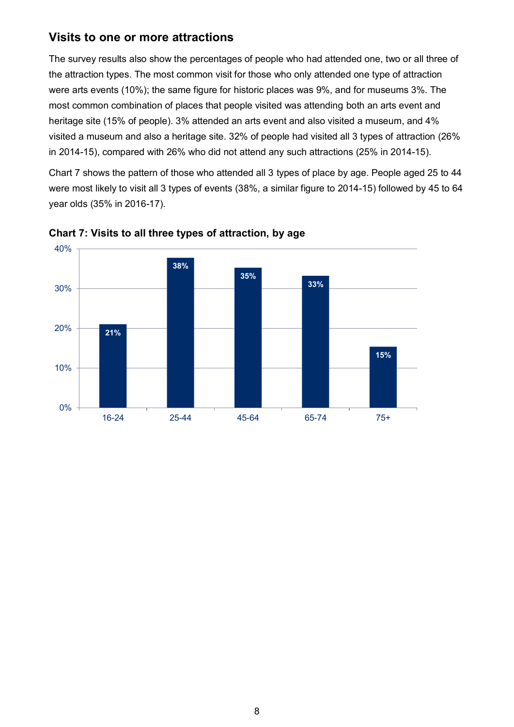### **Visits to one or more attractions**

The survey results also show the percentages of people who had attended one, two or all three of the attraction types. The most common visit for those who only attended one type of attraction were arts events (10%); the same figure for historic places was 9%, and for museums 3%. The most common combination of places that people visited was attending both an arts event and heritage site (15% of people). 3% attended an arts event and also visited a museum, and 4% visited a museum and also a heritage site. 32% of people had visited all 3 types of attraction (26% in 2014-15), compared with 26% who did not attend any such attractions (25% in 2014-15).

Chart 7 shows the pattern of those who attended all 3 types of place by age. People aged 25 to 44 were most likely to visit all 3 types of events (38%, a similar figure to 2014-15) followed by 45 to 64 year olds (35% in 2016-17).

<span id="page-7-0"></span>

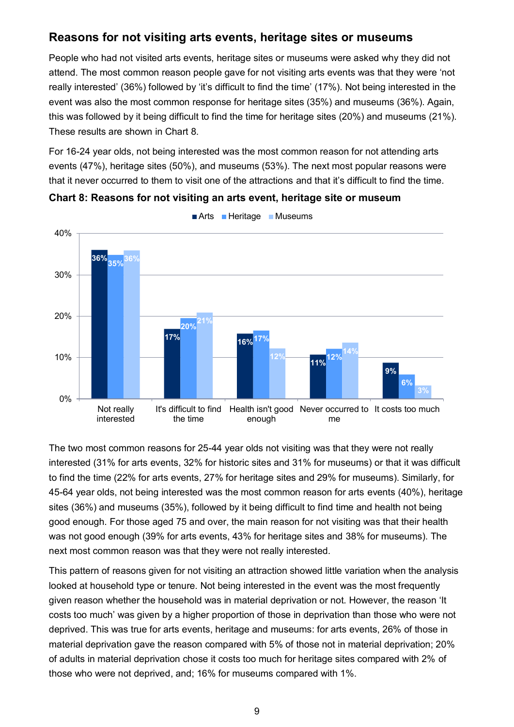# **Reasons for not visiting arts events, heritage sites or museums**

People who had not visited arts events, heritage sites or museums were asked why they did not attend. The most common reason people gave for not visiting arts events was that they were 'not really interested' (36%) followed by 'it's difficult to find the time' (17%). Not being interested in the event was also the most common response for heritage sites (35%) and museums (36%). Again, this was followed by it being difficult to find the time for heritage sites (20%) and museums (21%). These results are shown in Chart 8.

For 16-24 year olds, not being interested was the most common reason for not attending arts events (47%), heritage sites (50%), and museums (53%). The next most popular reasons were that it never occurred to them to visit one of the attractions and that it's difficult to find the time.



**Chart 8: Reasons for not visiting an arts event, heritage site or museum**

The two most common reasons for 25-44 year olds not visiting was that they were not really interested (31% for arts events, 32% for historic sites and 31% for museums) or that it was difficult to find the time (22% for arts events, 27% for heritage sites and 29% for museums). Similarly, for 45-64 year olds, not being interested was the most common reason for arts events (40%), heritage sites (36%) and museums (35%), followed by it being difficult to find time and health not being good enough. For those aged 75 and over, the main reason for not visiting was that their health was not good enough (39% for arts events, 43% for heritage sites and 38% for museums). The next most common reason was that they were not really interested.

This pattern of reasons given for not visiting an attraction showed little variation when the analysis looked at household type or tenure. Not being interested in the event was the most frequently given reason whether the household was in material deprivation or not. However, the reason 'It costs too much' was given by a higher proportion of those in deprivation than those who were not deprived. This was true for arts events, heritage and museums: for arts events, 26% of those in material deprivation gave the reason compared with 5% of those not in material deprivation; 20% of adults in material deprivation chose it costs too much for heritage sites compared with 2% of those who were not deprived, and; 16% for museums compared with 1%.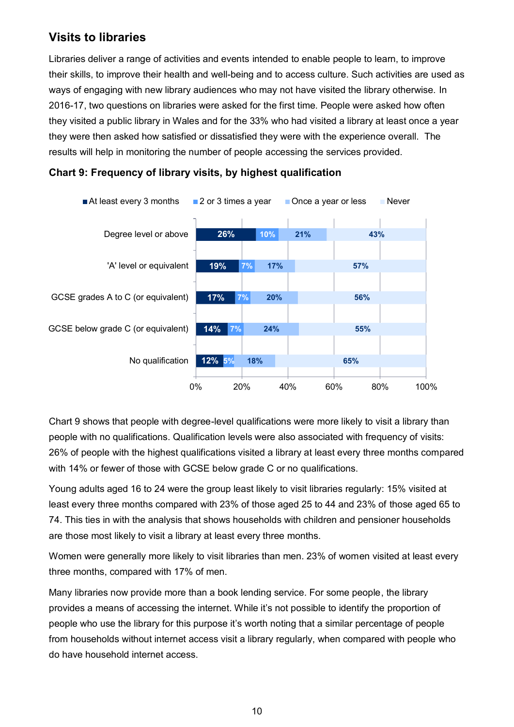# <span id="page-9-0"></span>**Visits to libraries**

Libraries deliver a range of activities and events intended to enable people to learn, to improve their skills, to improve their health and well-being and to access culture. Such activities are used as ways of engaging with new library audiences who may not have visited the library otherwise. In 2016-17, two questions on libraries were asked for the first time. People were asked how often they visited a public library in Wales and for the 33% who had visited a library at least once a year they were then asked how satisfied or dissatisfied they were with the experience overall. The results will help in monitoring the number of people accessing the services provided.





Chart 9 shows that people with degree-level qualifications were more likely to visit a library than people with no qualifications. Qualification levels were also associated with frequency of visits: 26% of people with the highest qualifications visited a library at least every three months compared with 14% or fewer of those with GCSE below grade C or no qualifications.

Young adults aged 16 to 24 were the group least likely to visit libraries regularly: 15% visited at least every three months compared with 23% of those aged 25 to 44 and 23% of those aged 65 to 74. This ties in with the analysis that shows households with children and pensioner households are those most likely to visit a library at least every three months.

Women were generally more likely to visit libraries than men. 23% of women visited at least every three months, compared with 17% of men.

Many libraries now provide more than a book lending service. For some people, the library provides a means of accessing the internet. While it's not possible to identify the proportion of people who use the library for this purpose it's worth noting that a similar percentage of people from households without internet access visit a library regularly, when compared with people who do have household internet access.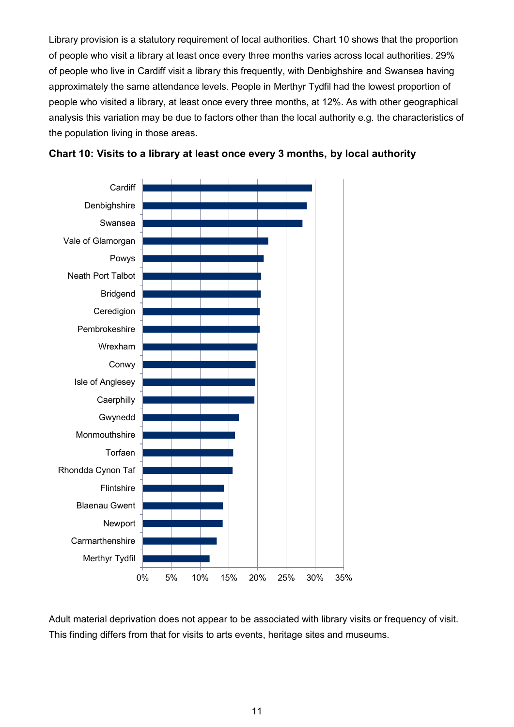Library provision is a statutory requirement of local authorities. Chart 10 shows that the proportion of people who visit a library at least once every three months varies across local authorities. 29% of people who live in Cardiff visit a library this frequently, with Denbighshire and Swansea having approximately the same attendance levels. People in Merthyr Tydfil had the lowest proportion of people who visited a library, at least once every three months, at 12%. As with other geographical analysis this variation may be due to factors other than the local authority e.g. the characteristics of the population living in those areas.





Adult material deprivation does not appear to be associated with library visits or frequency of visit. This finding differs from that for visits to arts events, heritage sites and museums.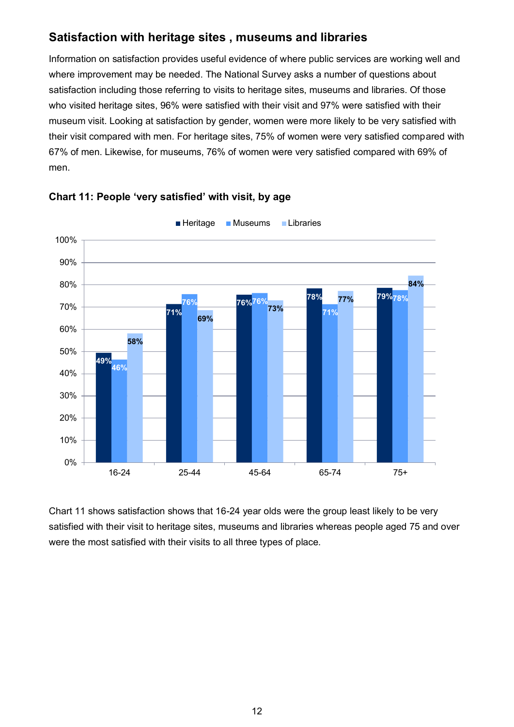# <span id="page-11-0"></span>**Satisfaction with heritage sites , museums and libraries**

Information on satisfaction provides useful evidence of where public services are working well and where improvement may be needed. The National Survey asks a number of questions about satisfaction including those referring to visits to heritage sites, museums and libraries. Of those who visited heritage sites, 96% were satisfied with their visit and 97% were satisfied with their museum visit. Looking at satisfaction by gender, women were more likely to be very satisfied with their visit compared with men. For heritage sites, 75% of women were very satisfied compared with 67% of men. Likewise, for museums, 76% of women were very satisfied compared with 69% of men.





Chart 11 shows satisfaction shows that 16-24 year olds were the group least likely to be very satisfied with their visit to heritage sites, museums and libraries whereas people aged 75 and over were the most satisfied with their visits to all three types of place.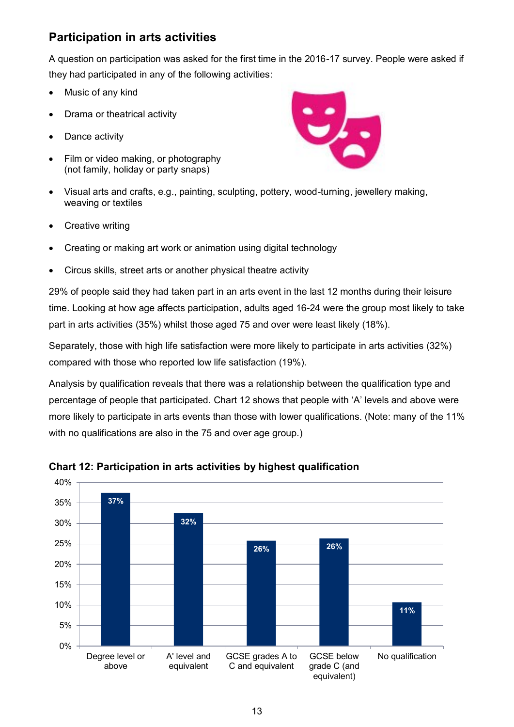# <span id="page-12-0"></span>**Participation in arts activities**

A question on participation was asked for the first time in the 2016-17 survey. People were asked if they had participated in any of the following activities:

- Music of any kind
- Drama or theatrical activity
- Dance activity
- Film or video making, or photography (not family, holiday or party snaps)



- Visual arts and crafts, e.g., painting, sculpting, pottery, wood-turning, jewellery making, weaving or textiles
- Creative writing
- Creating or making art work or animation using digital technology
- Circus skills, street arts or another physical theatre activity

29% of people said they had taken part in an arts event in the last 12 months during their leisure time. Looking at how age affects participation, adults aged 16-24 were the group most likely to take part in arts activities (35%) whilst those aged 75 and over were least likely (18%).

Separately, those with high life satisfaction were more likely to participate in arts activities (32%) compared with those who reported low life satisfaction (19%).

Analysis by qualification reveals that there was a relationship between the qualification type and percentage of people that participated. Chart 12 shows that people with 'A' levels and above were more likely to participate in arts events than those with lower qualifications. (Note: many of the 11% with no qualifications are also in the 75 and over age group.)



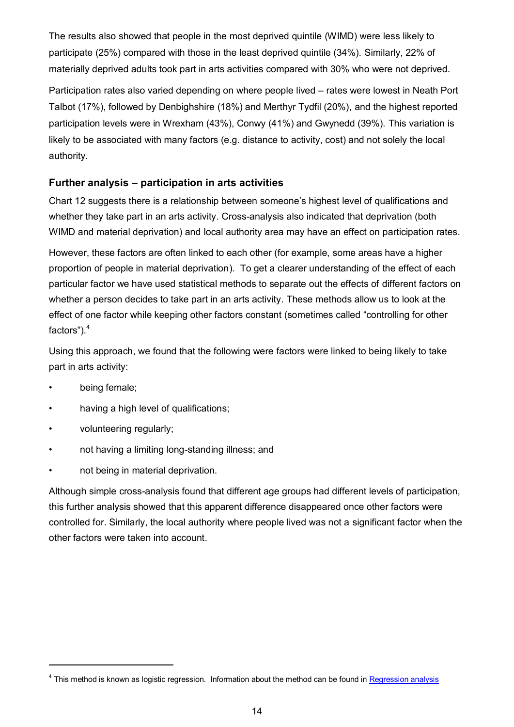The results also showed that people in the most deprived quintile (WIMD) were less likely to participate (25%) compared with those in the least deprived quintile (34%). Similarly, 22% of materially deprived adults took part in arts activities compared with 30% who were not deprived.

Participation rates also varied depending on where people lived – rates were lowest in Neath Port Talbot (17%), followed by Denbighshire (18%) and Merthyr Tydfil (20%), and the highest reported participation levels were in Wrexham (43%), Conwy (41%) and Gwynedd (39%). This variation is likely to be associated with many factors (e.g. distance to activity, cost) and not solely the local authority.

#### **Further analysis – participation in arts activities**

Chart 12 suggests there is a relationship between someone's highest level of qualifications and whether they take part in an arts activity. Cross-analysis also indicated that deprivation (both WIMD and material deprivation) and local authority area may have an effect on participation rates.

However, these factors are often linked to each other (for example, some areas have a higher proportion of people in material deprivation). To get a clearer understanding of the effect of each particular factor we have used statistical methods to separate out the effects of different factors on whether a person decides to take part in an arts activity. These methods allow us to look at the effect of one factor while keeping other factors constant (sometimes called "controlling for other factors").<sup>4</sup>

Using this approach, we found that the following were factors were linked to being likely to take part in arts activity:

• being female;

1

- having a high level of qualifications;
- volunteering regularly;
- not having a limiting long-standing illness; and
- not being in material deprivation.

Although simple cross-analysis found that different age groups had different levels of participation, this further analysis showed that this apparent difference disappeared once other factors were controlled for. Similarly, the local authority where people lived was not a significant factor when the other factors were taken into account.

<sup>&</sup>lt;sup>4</sup> This method is known as logistic regression. Information about the method can be found in **Regression analysis**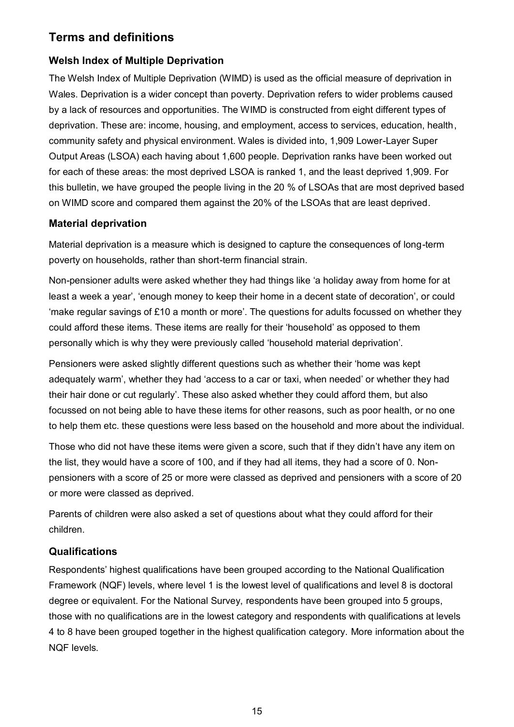# <span id="page-14-0"></span>**Terms and definitions**

# **Welsh Index of Multiple Deprivation**

The Welsh Index of Multiple Deprivation (WIMD) is used as the official measure of deprivation in Wales. Deprivation is a wider concept than poverty. Deprivation refers to wider problems caused by a lack of resources and opportunities. The WIMD is constructed from eight different types of deprivation. These are: income, housing, and employment, access to services, education, health, community safety and physical environment. Wales is divided into, 1,909 Lower-Layer Super Output Areas (LSOA) each having about 1,600 people. Deprivation ranks have been worked out for each of these areas: the most deprived LSOA is ranked 1, and the least deprived 1,909. For this bulletin, we have grouped the people living in the 20 % of LSOAs that are most deprived based on WIMD score and compared them against the 20% of the LSOAs that are least deprived.

#### **Material deprivation**

Material deprivation is a measure which is designed to capture the consequences of long-term poverty on households, rather than short-term financial strain.

Non-pensioner adults were asked whether they had things like 'a holiday away from home for at least a week a year', 'enough money to keep their home in a decent state of decoration', or could 'make regular savings of £10 a month or more'. The questions for adults focussed on whether they could afford these items. These items are really for their 'household' as opposed to them personally which is why they were previously called 'household material deprivation'.

Pensioners were asked slightly different questions such as whether their 'home was kept adequately warm', whether they had 'access to a car or taxi, when needed' or whether they had their hair done or cut regularly'. These also asked whether they could afford them, but also focussed on not being able to have these items for other reasons, such as poor health, or no one to help them etc. these questions were less based on the household and more about the individual.

Those who did not have these items were given a score, such that if they didn't have any item on the list, they would have a score of 100, and if they had all items, they had a score of 0. Nonpensioners with a score of 25 or more were classed as deprived and pensioners with a score of 20 or more were classed as deprived.

Parents of children were also asked a set of questions about what they could afford for their children.

#### **Qualifications**

Respondents' highest qualifications have been grouped according to the National Qualification Framework (NQF) levels, where level 1 is the lowest level of qualifications and level 8 is doctoral degree or equivalent. For the National Survey, respondents have been grouped into 5 groups, those with no qualifications are in the lowest category and respondents with qualifications at levels 4 to 8 have been grouped together in the highest qualification category. More information about the NQF levels.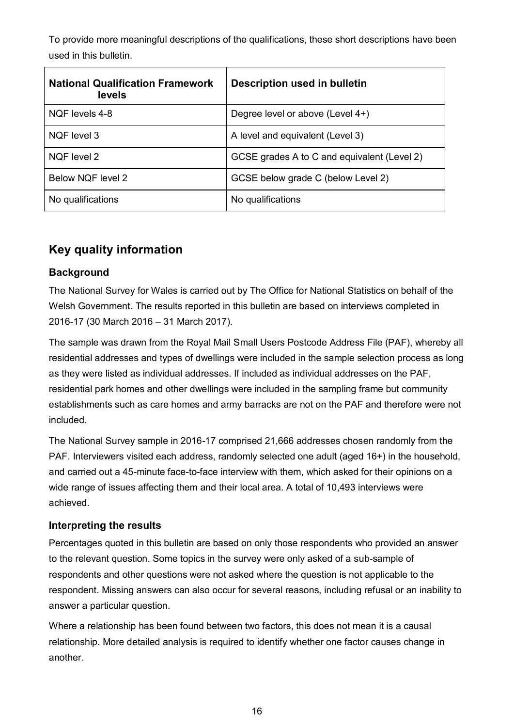To provide more meaningful descriptions of the qualifications, these short descriptions have been used in this bulletin.

| <b>National Qualification Framework</b><br>levels | <b>Description used in bulletin</b>         |
|---------------------------------------------------|---------------------------------------------|
| NQF levels 4-8                                    | Degree level or above (Level 4+)            |
| NQF level 3                                       | A level and equivalent (Level 3)            |
| NOF level 2                                       | GCSE grades A to C and equivalent (Level 2) |
| Below NQF level 2                                 | GCSE below grade C (below Level 2)          |
| No qualifications                                 | No qualifications                           |

# <span id="page-15-0"></span>**Key quality information**

#### **Background**

The National Survey for Wales is carried out by The Office for National Statistics on behalf of the Welsh Government. The results reported in this bulletin are based on interviews completed in 2016-17 (30 March 2016 – 31 March 2017).

The sample was drawn from the Royal Mail Small Users Postcode Address File (PAF), whereby all residential addresses and types of dwellings were included in the sample selection process as long as they were listed as individual addresses. If included as individual addresses on the PAF, residential park homes and other dwellings were included in the sampling frame but community establishments such as care homes and army barracks are not on the PAF and therefore were not included.

The National Survey sample in 2016-17 comprised 21,666 addresses chosen randomly from the PAF. Interviewers visited each address, randomly selected one adult (aged 16+) in the household, and carried out a 45-minute face-to-face interview with them, which asked for their opinions on a wide range of issues affecting them and their local area. A total of 10,493 interviews were achieved.

#### **Interpreting the results**

Percentages quoted in this bulletin are based on only those respondents who provided an answer to the relevant question. Some topics in the survey were only asked of a sub-sample of respondents and other questions were not asked where the question is not applicable to the respondent. Missing answers can also occur for several reasons, including refusal or an inability to answer a particular question.

Where a relationship has been found between two factors, this does not mean it is a causal relationship. More detailed analysis is required to identify whether one factor causes change in another.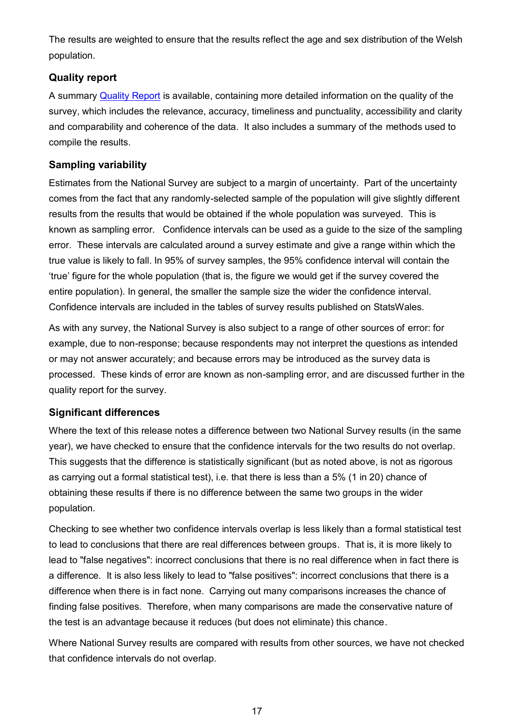The results are weighted to ensure that the results reflect the age and sex distribution of the Welsh population.

#### **Quality report**

A summary [Quality Report](http://gov.wales/statistics-and-research/national-survey/design-methodology/technical-information/) is available, containing more detailed information on the quality of the survey, which includes the relevance, accuracy, timeliness and punctuality, accessibility and clarity and comparability and coherence of the data. It also includes a summary of the methods used to compile the results.

#### **Sampling variability**

Estimates from the National Survey are subject to a margin of uncertainty. Part of the uncertainty comes from the fact that any randomly-selected sample of the population will give slightly different results from the results that would be obtained if the whole population was surveyed. This is known as sampling error. Confidence intervals can be used as a guide to the size of the sampling error. These intervals are calculated around a survey estimate and give a range within which the true value is likely to fall. In 95% of survey samples, the 95% confidence interval will contain the 'true' figure for the whole population (that is, the figure we would get if the survey covered the entire population). In general, the smaller the sample size the wider the confidence interval. Confidence intervals are included in the tables of survey results published on StatsWales.

As with any survey, the National Survey is also subject to a range of other sources of error: for example, due to non-response; because respondents may not interpret the questions as intended or may not answer accurately; and because errors may be introduced as the survey data is processed. These kinds of error are known as non-sampling error, and are discussed further in the quality report for the survey.

#### **Significant differences**

Where the text of this release notes a difference between two National Survey results (in the same year), we have checked to ensure that the confidence intervals for the two results do not overlap. This suggests that the difference is statistically significant (but as noted above, is not as rigorous as carrying out a formal statistical test), i.e. that there is less than a 5% (1 in 20) chance of obtaining these results if there is no difference between the same two groups in the wider population.

Checking to see whether two confidence intervals overlap is less likely than a formal statistical test to lead to conclusions that there are real differences between groups. That is, it is more likely to lead to "false negatives": incorrect conclusions that there is no real difference when in fact there is a difference. It is also less likely to lead to "false positives": incorrect conclusions that there is a difference when there is in fact none. Carrying out many comparisons increases the chance of finding false positives. Therefore, when many comparisons are made the conservative nature of the test is an advantage because it reduces (but does not eliminate) this chance.

Where National Survey results are compared with results from other sources, we have not checked that confidence intervals do not overlap.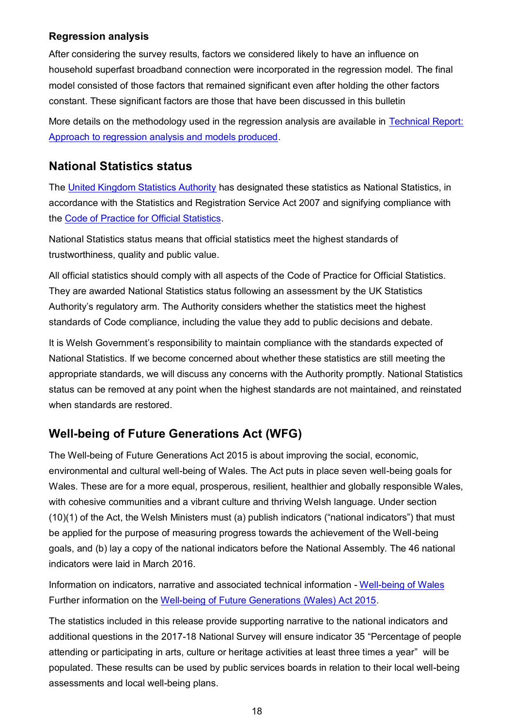#### **Regression analysis**

After considering the survey results, factors we considered likely to have an influence on household superfast broadband connection were incorporated in the regression model. The final model consisted of those factors that remained significant even after holding the other factors constant. These significant factors are those that have been discussed in this bulletin

More details on the methodology used in the regression analysis are available in [Technical Report:](http://gov.wales/docs/caecd/research/2018/180326-national-survey-technical-report-approach-regression-analysis-2016-17-en.pdf)  [Approach to regression analysis and models produced.](http://gov.wales/docs/caecd/research/2018/180326-national-survey-technical-report-approach-regression-analysis-2016-17-en.pdf)

# **National Statistics status**

The [United Kingdom Statistics Authority](https://www.statisticsauthority.gov.uk/) has designated these statistics as National Statistics, in accordance with the Statistics and Registration Service Act 2007 and signifying compliance with the [Code of Practice for Official Statistics.](https://www.statisticsauthority.gov.uk/monitoring-and-assessment/code-of-practice/)

National Statistics status means that official statistics meet the highest standards of trustworthiness, quality and public value.

All official statistics should comply with all aspects of the Code of Practice for Official Statistics. They are awarded National Statistics status following an assessment by the UK Statistics Authority's regulatory arm. The Authority considers whether the statistics meet the highest standards of Code compliance, including the value they add to public decisions and debate.

It is Welsh Government's responsibility to maintain compliance with the standards expected of National Statistics. If we become concerned about whether these statistics are still meeting the appropriate standards, we will discuss any concerns with the Authority promptly. National Statistics status can be removed at any point when the highest standards are not maintained, and reinstated when standards are restored.

# <span id="page-17-0"></span>**Well-being of Future Generations Act (WFG)**

The Well-being of Future Generations Act 2015 is about improving the social, economic, environmental and cultural well-being of Wales. The Act puts in place seven well-being goals for Wales. These are for a more equal, prosperous, resilient, healthier and globally responsible Wales, with cohesive communities and a vibrant culture and thriving Welsh language. Under section (10)(1) of the Act, the Welsh Ministers must (a) publish indicators ("national indicators") that must be applied for the purpose of measuring progress towards the achievement of the Well-being goals, and (b) lay a copy of the national indicators before the National Assembly. The 46 national indicators were laid in March 2016.

Information on indicators, narrative and associated technical information - [Well-being of Wales](http://gov.wales/docs/statistics/2017/170925-well-being-wales-2016-17-en.pdf) Further information on the [Well-being of Future Generations \(Wales\) Act 2015.](http://gov.wales/topics/people-and-communities/people/future-generations-act)

The statistics included in this release provide supporting narrative to the national indicators and additional questions in the 2017-18 National Survey will ensure indicator 35 "Percentage of people attending or participating in arts, culture or heritage activities at least three times a year" will be populated. These results can be used by public services boards in relation to their local well-being assessments and local well-being plans.